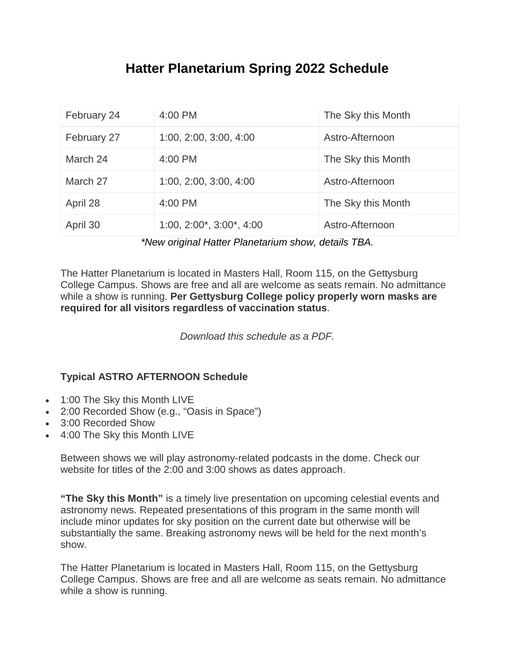## **Hatter Planetarium Spring 2022 Schedule**

| February 24 | 4:00 PM                            | The Sky this Month |
|-------------|------------------------------------|--------------------|
| February 27 | 1:00, 2:00, 3:00, 4:00             | Astro-Afternoon    |
| March 24    | 4:00 PM                            | The Sky this Month |
| March 27    | 1:00, 2:00, 3:00, 4:00             | Astro-Afternoon    |
| April 28    | 4:00 PM                            | The Sky this Month |
| April 30    | $1:00, 2:00^*$ , $3:00^*$ , $4:00$ | Astro-Afternoon    |

*\*New original Hatter Planetarium show, details TBA.*

The Hatter Planetarium is located in Masters Hall, Room 115, on the Gettysburg College Campus. Shows are free and all are welcome as seats remain. No admittance while a show is running. **Per Gettysburg College policy properly worn masks are required for all visitors regardless of vaccination status**.

*Download this schedule as a PDF.*

## **Typical ASTRO AFTERNOON Schedule**

- 1:00 The Sky this Month LIVE
- 2:00 Recorded Show (e.g., "Oasis in Space")
- 3:00 Recorded Show
- 4:00 The Sky this Month LIVE

Between shows we will play astronomy-related podcasts in the dome. Check our website for titles of the 2:00 and 3:00 shows as dates approach.

**"The Sky this Month"** is a timely live presentation on upcoming celestial events and astronomy news. Repeated presentations of this program in the same month will include minor updates for sky position on the current date but otherwise will be substantially the same. Breaking astronomy news will be held for the next month's show.

The Hatter Planetarium is located in Masters Hall, Room 115, on the Gettysburg College Campus. Shows are free and all are welcome as seats remain. No admittance while a show is running.